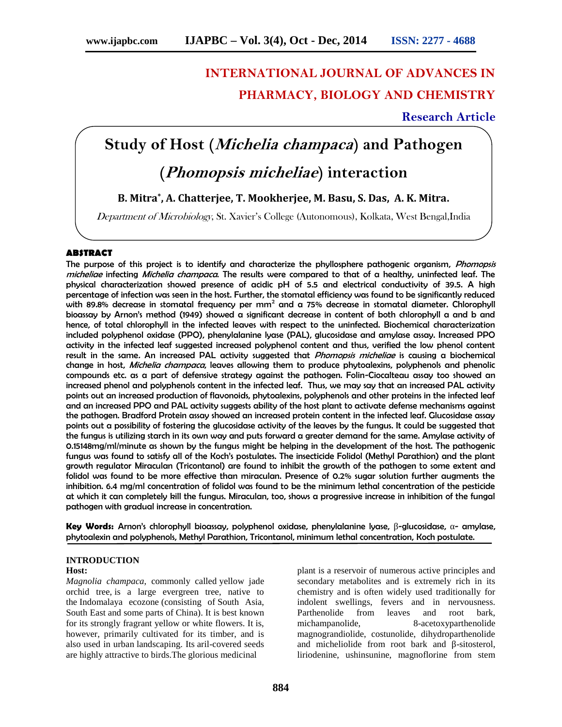# **INTERNATIONAL JOURNAL OF ADVANCES IN PHARMACY, BIOLOGY AND CHEMISTRY**

# **Research Article**

# **Study of Host (***Michelia champaca***) and Pathogen**

# **(***Phomopsis micheliae***) interaction**

**B. Mitra\* , A. Chatterjee, T. Mookherjee, M. Basu, S. Das, A. K. Mitra.**

*Department of Microbiology*, St. Xavier's College (Autonomous), Kolkata, West Bengal,India

#### **ABSTRACT**

The purpose of this project is to identify and characterize the phyllosphere pathogenic organism, *Phomopsis micheliae* infecting *Michelia champaca*. The results were compared to that of a healthy, uninfected leaf. The physical characterization showed presence of acidic pH of 5.5 and electrical conductivity of 39.5. A high percentage of infection was seen in the host. Further, the stomatal efficiency was found to be significantly reduced with 89.8% decrease in stomatal frequency per mm<sup>2</sup> and a 75% decrease in stomatal diameter. Chlorophyll bioassay by Arnon's method (1949) showed a significant decrease in content of both chlorophyll a and b and hence, of total chlorophyll in the infected leaves with respect to the uninfected. Biochemical characterization included polyphenol oxidase (PPO), phenylalanine lyase (PAL), glucosidase and amylase assay. Increased PPO activity in the infected leaf suggested increased polyphenol content and thus, verified the low phenol content result in the same*.* An increased PAL activity suggested that *Phomopsis micheliae* is causing a biochemical change in host, *Michelia champaca*, leaves allowing them to produce phytoalexins, polyphenols and phenolic compounds etc. as a part of defensive strategy against the pathogen. Folin-Ciocalteau assay too showed an increased phenol and polyphenols content in the infected leaf. Thus, we may say that an increased PAL activity points out an increased production of flavonoids, phytoalexins, polyphenols and other proteins in the infected leaf and an increased PPO and PAL activity suggests ability of the host plant to activate defense mechanisms against the pathogen. Bradford Protein assay showed an increased protein content in the infected leaf. Glucosidase assay points out a possibility of fostering the glucosidase activity of the leaves by the fungus. It could be suggested that the fungus is utilizing starch in its own way and puts forward a greater demand for the same. Amylase activity of 0.15148mg/ml/minute as shown by the fungus might be helping in the development of the host. The pathogenic fungus was found to satisfy all of the Koch's postulates. The insecticide Folidol (Methyl Parathion) and the plant growth regulator Miraculan (Tricontanol) are found to inhibit the growth of the pathogen to some extent and folidol was found to be more effective than miraculan. Presence of 0.2% sugar solution further augments the inhibition. 6.4 mg/ml concentration of folidol was found to be the minimum lethal concentration of the pesticide at which it can completely kill the fungus. Miraculan, too, shows a progressive increase in inhibition of the fungal pathogen with gradual increase in concentration.

**Key Words:** Arnon's chlorophyll bioassay, polyphenol oxidase, phenylalanine lyase, -glucosidase, - amylase, phytoalexin and polyphenols, Methyl Parathion, Tricontanol, minimum lethal concentration, Koch postulate.

# **INTRODUCTION**

## **Host:**

*Magnolia champaca*, commonly called yellow jade orchid tree, is a large evergreen tree, native to the Indomalaya ecozone (consisting of South Asia, South East and some parts of China). It is best known for its strongly fragrant yellow or white flowers. It is, however, primarily cultivated for its timber, and is also used in urban landscaping. Its aril-covered seeds are highly attractive to birds.The glorious medicinal

plant is a reservoir of numerous active principles and secondary metabolites and is extremely rich in its chemistry and is often widely used traditionally for indolent swellings, fevers and in nervousness. Parthenolide from leaves and root bark, michampanolide, 8-acetoxyparthenolide magnograndiolide, costunolide, dihydroparthenolide and micheliolide from root bark and -sitosterol, liriodenine, ushinsunine, magnoflorine from stem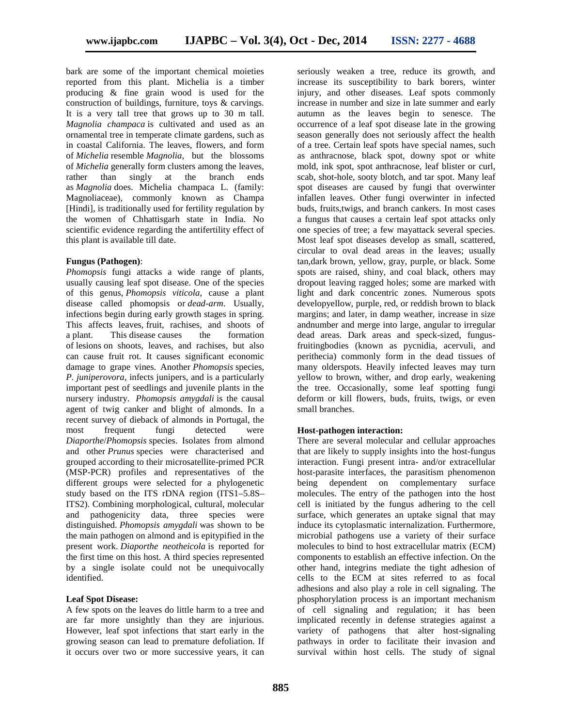bark are some of the important chemical moieties reported from this plant. Michelia is a timber producing & fine grain wood is used for the construction of buildings, furniture, toys & carvings. It is a very tall tree that grows up to 30 m tall. *Magnolia champaca* is cultivated and used as an ornamental tree in temperate climate gardens, such as in coastal California. The leaves, flowers, and form of *Michelia* resemble *Magnolia*, but the blossoms of *Michelia* generally form clusters among the leaves, rather than singly at the branch ends as *Magnolia* does. Michelia champaca L. (family: Magnoliaceae), commonly known as Champa [Hindi], is traditionally used for fertility regulation by the women of Chhattisgarh state in India. No scientific evidence regarding the antifertility effect of this plant is available till date.

#### **Fungus (Pathogen)**:

*Phomopsis* fungi attacks a wide range of plants, usually causing leaf spot disease. One of the species of this genus, *Phomopsis viticola*, cause a plant disease called phomopsis or *dead-arm*. Usually, infections begin during early growth stages in spring. This affects leaves, fruit, rachises, and shoots of a plant. This disease causes the formation of lesions on shoots, leaves, and rachises, but also can cause fruit rot. It causes significant economic damage to grape vines. Another *Phomopsis* species, *P. juniperovora*, infects junipers, and is a particularly important pest of seedlings and juvenile plants in the nursery industry. *Phomopsis amygdali* is the causal agent of twig canker and blight of almonds. In a recent survey of dieback of almonds in Portugal, the most frequent fungi detected were *Diaporthe*/*Phomopsis* species. Isolates from almond and other *Prunus* species were characterised and grouped according to their microsatellite-primed PCR (MSP-PCR) profiles and representatives of the different groups were selected for a phylogenetic study based on the ITS rDNA region (ITS1–5.8S– ITS2). Combining morphological, cultural, molecular and pathogenicity data, three species were distinguished. *Phomopsis amygdali* was shown to be the main pathogen on almond and is epitypified in the present work. *Diaporthe neotheicola* is reported for the first time on this host. A third species represented by a single isolate could not be unequivocally identified.

#### **Leaf Spot Disease:**

A few spots on the leaves do little harm to a tree and are far more unsightly than they are injurious. However, leaf spot infections that start early in the growing season can lead to premature defoliation. If it occurs over two or more successive years, it can seriously weaken a tree, reduce its growth, and increase its susceptibility to bark borers, winter injury, and other diseases. Leaf spots commonly increase in number and size in late summer and early autumn as the leaves begin to senesce. The occurrence of a leaf spot disease late in the growing season generally does not seriously affect the health of a tree. Certain leaf spots have special names, such as anthracnose, black spot, downy spot or white mold, ink spot, spot anthracnose, leaf blister or curl, scab, shot-hole, sooty blotch, and tar spot. Many leaf spot diseases are caused by fungi that overwinter infallen leaves. Other fungi overwinter in infected buds, fruits,twigs, and branch cankers. In most cases a fungus that causes a certain leaf spot attacks only one species of tree; a few mayattack several species. Most leaf spot diseases develop as small, scattered, circular to oval dead areas in the leaves; usually tan,dark brown, yellow, gray, purple, or black. Some spots are raised, shiny, and coal black, others may dropout leaving ragged holes; some are marked with light and dark concentric zones. Numerous spots developyellow, purple, red, or reddish brown to black margins; and later, in damp weather, increase in size andnumber and merge into large, angular to irregular dead areas. Dark areas and speck-sized, fungusfruitingbodies (known as pycnidia, acervuli, and perithecia) commonly form in the dead tissues of many olderspots. Heavily infected leaves may turn yellow to brown, wither, and drop early, weakening the tree. Occasionally, some leaf spotting fungi deform or kill flowers, buds, fruits, twigs, or even small branches.

#### **Host-pathogen interaction:**

There are several molecular and cellular approaches that are likely to supply insights into the host-fungus interaction. Fungi present intra- and/or extracellular host-parasite interfaces, the parasitism phenomenon being dependent on complementary surface molecules. The entry of the pathogen into the host cell is initiated by the fungus adhering to the cell surface, which generates an uptake signal that may induce its cytoplasmatic internalization. Furthermore, microbial pathogens use a variety of their surface molecules to bind to host extracellular matrix (ECM) components to establish an effective infection. On the other hand, integrins mediate the tight adhesion of cells to the ECM at sites referred to as focal adhesions and also play a role in cell signaling. The phosphorylation process is an important mechanism of cell signaling and regulation; it has been implicated recently in defense strategies against a variety of pathogens that alter host-signaling pathways in order to facilitate their invasion and survival within host cells. The study of signal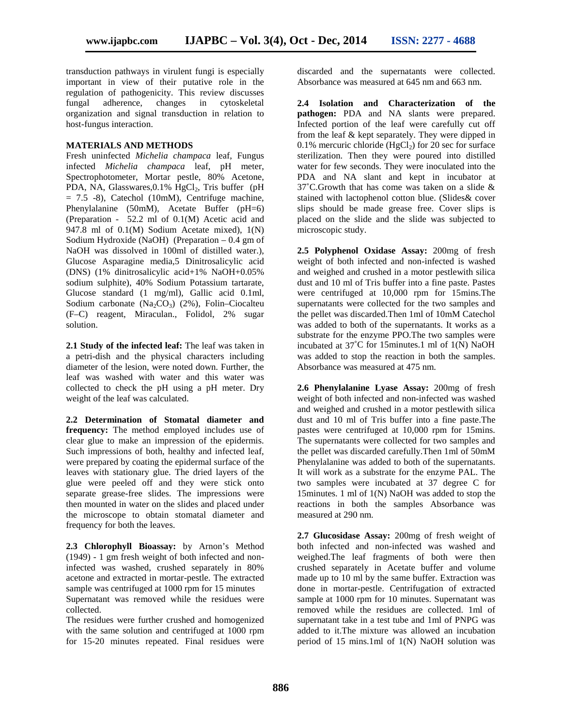transduction pathways in virulent fungi is especially important in view of their putative role in the regulation of pathogenicity. This review discusses fungal adherence, changes in cytoskeletal organization and signal transduction in relation to host-fungus interaction.

#### **MATERIALS AND METHODS**

Fresh uninfected *Michelia champaca* leaf, Fungus infected *Michelia champaca* leaf, pH meter, Spectrophotometer, Mortar pestle, 80% Acetone, PDA, NA, Glasswares,  $0.1\%$  HgCl<sub>2</sub>, Tris buffer (pH)  $= 7.5$  -8), Catechol (10mM), Centrifuge machine, Phenylalanine (50mM), Acetate Buffer (pH=6) (Preparation - 52.2 ml of 0.1(M) Acetic acid and 947.8 ml of 0.1(M) Sodium Acetate mixed), 1(N) Sodium Hydroxide (NaOH) (Preparation – 0.4 gm of NaOH was dissolved in 100ml of distilled water.), Glucose Asparagine media,5 Dinitrosalicylic acid (DNS) (1% dinitrosalicylic acid+1% NaOH+0.05% sodium sulphite), 40% Sodium Potassium tartarate, Glucose standard (1 mg/ml), Gallic acid 0.1ml, Sodium carbonate  $(Na_2CO_3)$  (2%), Folin–Ciocalteu (F–C) reagent, Miraculan., Folidol, 2% sugar solution.

**2.1 Study of the infected leaf:** The leaf was taken in a petri-dish and the physical characters including diameter of the lesion, were noted down. Further, the leaf was washed with water and this water was collected to check the pH using a pH meter. Dry weight of the leaf was calculated.

**2.2 Determination of Stomatal diameter and frequency:** The method employed includes use of clear glue to make an impression of the epidermis. Such impressions of both, healthy and infected leaf, were prepared by coating the epidermal surface of the leaves with stationary glue. The dried layers of the glue were peeled off and they were stick onto separate grease-free slides. The impressions were then mounted in water on the slides and placed under the microscope to obtain stomatal diameter and frequency for both the leaves.

**2.3 Chlorophyll Bioassay:** by Arnon's Method (1949) - 1 gm fresh weight of both infected and noninfected was washed, crushed separately in 80% acetone and extracted in mortar-pestle. The extracted sample was centrifuged at 1000 rpm for 15 minutes

Supernatant was removed while the residues were collected.

The residues were further crushed and homogenized with the same solution and centrifuged at 1000 rpm for 15-20 minutes repeated. Final residues were

discarded and the supernatants were collected. Absorbance was measured at 645 nm and 663 nm.

**2.4 Isolation and Characterization of the pathogen:** PDA and NA slants were prepared. Infected portion of the leaf were carefully cut off from the leaf & kept separately. They were dipped in 0.1% mercuric chloride (HgCl<sub>2</sub>) for 20 sec for surface sterilization. Then they were poured into distilled water for few seconds. They were inoculated into the PDA and NA slant and kept in incubator at 37˚C.Growth that has come was taken on a slide & stained with lactophenol cotton blue. (Slides& cover slips should be made grease free. Cover slips is placed on the slide and the slide was subjected to microscopic study.

**2.5 Polyphenol Oxidase Assay:** 200mg of fresh weight of both infected and non-infected is washed and weighed and crushed in a motor pestlewith silica dust and 10 ml of Tris buffer into a fine paste. Pastes were centrifuged at 10,000 rpm for 15mins.The supernatants were collected for the two samples and the pellet was discarded.Then 1ml of 10mM Catechol was added to both of the supernatants. It works as a substrate for the enzyme PPO.The two samples were incubated at  $37^{\circ}$ C for 15minutes.1 ml of  $1(N)$  NaOH was added to stop the reaction in both the samples. Absorbance was measured at 475 nm.

**2.6 Phenylalanine Lyase Assay:** 200mg of fresh weight of both infected and non-infected was washed and weighed and crushed in a motor pestlewith silica dust and 10 ml of Tris buffer into a fine paste.The pastes were centrifuged at 10,000 rpm for 15mins. The supernatants were collected for two samples and the pellet was discarded carefully.Then 1ml of 50mM Phenylalanine was added to both of the supernatants. It will work as a substrate for the enzyme PAL. The two samples were incubated at 37 degree C for 15minutes. 1 ml of 1(N) NaOH was added to stop the reactions in both the samples Absorbance was measured at 290 nm.

**2.7 Glucosidase Assay:** 200mg of fresh weight of both infected and non-infected was washed and weighed.The leaf fragments of both were then crushed separately in Acetate buffer and volume made up to 10 ml by the same buffer. Extraction was done in mortar-pestle. Centrifugation of extracted sample at 1000 rpm for 10 minutes. Supernatant was removed while the residues are collected. 1ml of supernatant take in a test tube and 1ml of PNPG was added to it.The mixture was allowed an incubation period of 15 mins.1ml of 1(N) NaOH solution was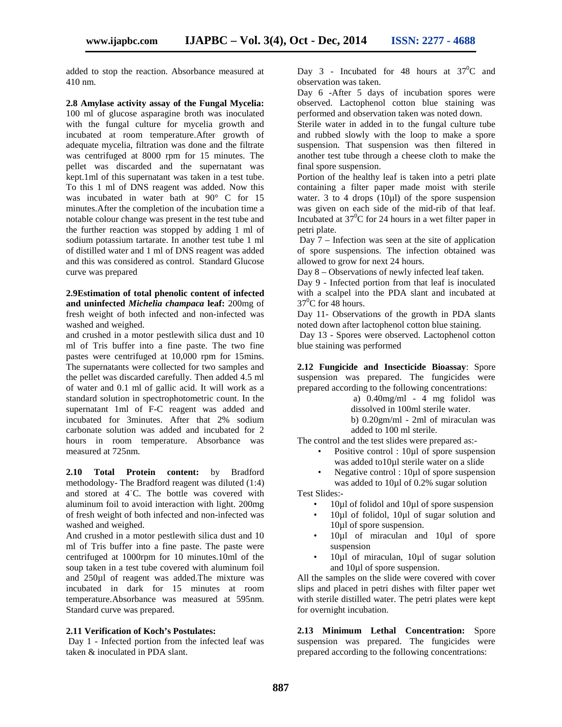added to stop the reaction. Absorbance measured at 410 nm.

**2.8 Amylase activity assay of the Fungal Mycelia:** 100 ml of glucose asparagine broth was inoculated with the fungal culture for mycelia growth and incubated at room temperature.After growth of adequate mycelia, filtration was done and the filtrate was centrifuged at 8000 rpm for 15 minutes. The pellet was discarded and the supernatant was kept.1ml of this supernatant was taken in a test tube. To this 1 ml of DNS reagent was added. Now this was incubated in water bath at 90° C for 15 minutes.After the completion of the incubation time a notable colour change was present in the test tube and the further reaction was stopped by adding 1 ml of sodium potassium tartarate. In another test tube 1 ml of distilled water and 1 ml of DNS reagent was added and this was considered as control. Standard Glucose curve was prepared

**2.9Estimation of total phenolic content of infected and uninfected** *Michelia champaca* **leaf:** 200mg of fresh weight of both infected and non-infected was washed and weighed.

and crushed in a motor pestlewith silica dust and 10 ml of Tris buffer into a fine paste. The two fine pastes were centrifuged at 10,000 rpm for 15mins. The supernatants were collected for two samples and the pellet was discarded carefully. Then added 4.5 ml of water and 0.1 ml of gallic acid. It will work as a standard solution in spectrophotometric count. In the supernatant 1ml of F-C reagent was added and incubated for 3minutes. After that 2% sodium carbonate solution was added and incubated for 2 hours in room temperature. Absorbance was measured at 725nm.

**2.10 Total Protein content:** by Bradford methodology- The Bradford reagent was diluted (1:4) and stored at 4˙C. The bottle was covered with aluminum foil to avoid interaction with light. 200mg of fresh weight of both infected and non-infected was washed and weighed.

And crushed in a motor pestlewith silica dust and 10 ml of Tris buffer into a fine paste. The paste were centrifuged at 1000rpm for 10 minutes.10ml of the soup taken in a test tube covered with aluminum foil and 250µl of reagent was added.The mixture was incubated in dark for 15 minutes at room temperature.Absorbance was measured at 595nm. Standard curve was prepared.

#### **2.11 Verification of Koch's Postulates:**

Day 1 - Infected portion from the infected leaf was taken & inoculated in PDA slant.

Day 3 - Incubated for 48 hours at  $37^{\circ}$ C and observation was taken.

Day 6 -After 5 days of incubation spores were observed. Lactophenol cotton blue staining was performed and observation taken was noted down.

Sterile water in added in to the fungal culture tube and rubbed slowly with the loop to make a spore suspension. That suspension was then filtered in another test tube through a cheese cloth to make the final spore suspension.

Portion of the healthy leaf is taken into a petri plate containing a filter paper made moist with sterile water. 3 to 4 drops  $(10\mu l)$  of the spore suspension was given on each side of the mid-rib of that leaf. Incubated at  $37^{\circ}$ C for 24 hours in a wet filter paper in petri plate.

Day 7 – Infection was seen at the site of application of spore suspensions. The infection obtained was allowed to grow for next 24 hours.

Day 8 – Observations of newly infected leaf taken.

Day 9 - Infected portion from that leaf is inoculated with a scalpel into the PDA slant and incubated at  $37^0$ C for 48 hours.

Day 11- Observations of the growth in PDA slants noted down after lactophenol cotton blue staining.

Day 13 - Spores were observed. Lactophenol cotton blue staining was performed

**2.12 Fungicide and Insecticide Bioassay**: Spore suspension was prepared. The fungicides were prepared according to the following concentrations:

a) 0.40mg/ml - 4 mg folidol was dissolved in 100ml sterile water. b) 0.20gm/ml - 2ml of miraculan was added to 100 ml sterile.

The control and the test slides were prepared as:-

- Positive control : 10µ1 of spore suspension was added to10µl sterile water on a slide
- Negative control : 10ul of spore suspension was added to 10µl of 0.2% sugar solution

Test Slides:-

- $10\mu$ l of folidol and  $10\mu$ l of spore suspension
- 10µl of folidol, 10µl of sugar solution and 10µl of spore suspension.
- 10µl of miraculan and 10µl of spore suspension
- 10µl of miraculan, 10µl of sugar solution and 10µl of spore suspension.

All the samples on the slide were covered with cover slips and placed in petri dishes with filter paper wet with sterile distilled water. The petri plates were kept for overnight incubation.

**2.13 Minimum Lethal Concentration:** Spore suspension was prepared. The fungicides were prepared according to the following concentrations: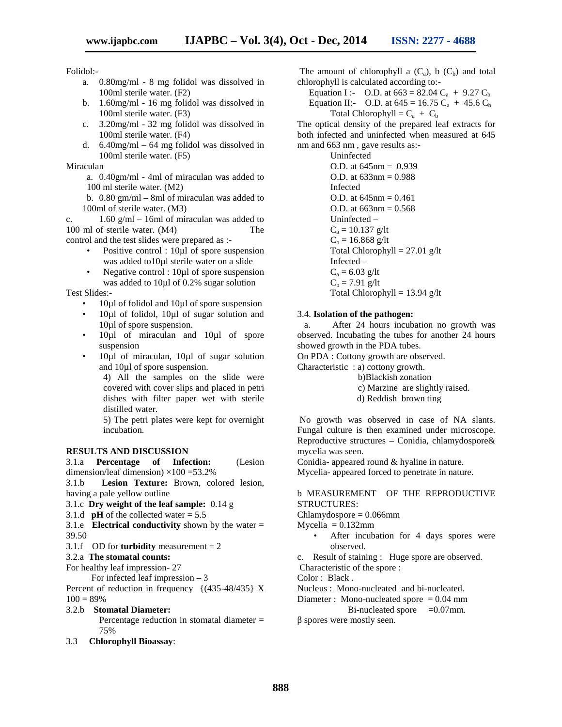# Folidol:-

- a. 0.80mg/ml 8 mg folidol was dissolved in 100ml sterile water. (F2)
- b. 1.60mg/ml 16 mg folidol was dissolved in 100ml sterile water. (F3)
- c. 3.20mg/ml 32 mg folidol was dissolved in 100ml sterile water. (F4)
- d. 6.40mg/ml 64 mg folidol was dissolved in 100ml sterile water. (F5)

Miraculan

a. 0.40gm/ml - 4ml of miraculan was added to 100 ml sterile water. (M2)

b. 0.80 gm/ml – 8ml of miraculan was added to 100ml of sterile water. (M3)

c.  $1.60 \text{ g/ml} - 16 \text{ ml}$  of miraculan was added to 100 ml of sterile water.  $(M4)$  The control and the test slides were prepared as :-

- Positive control : 10µ1 of spore suspension was added to10µl sterile water on a slide
- Negative control : 10µl of spore suspension was added to 10µl of 0.2% sugar solution

Test Slides:-

- 10µl of folidol and 10µl of spore suspension
- 10µl of folidol, 10µl of sugar solution and 10µl of spore suspension.
- 10ul of miraculan and 10ul of spore suspension
- 10µl of miraculan, 10µl of sugar solution and 10µl of spore suspension.

4) All the samples on the slide were covered with cover slips and placed in petri dishes with filter paper wet with sterile distilled water.

5) The petri plates were kept for overnight incubation.

#### **RESULTS AND DISCUSSION**

3.1.a **Percentage of Infection:** (Lesion dimension/leaf dimension)  $\times$ 100 =53.2%

3.1.b **Lesion Texture:** Brown, colored lesion, having a pale yellow outline

- 3.1.c **Dry weight of the leaf sample:** 0.14 g
- 3.1.d **pH** of the collected water  $= 5.5$

3.1.e **Electrical conductivity** shown by the water = 39.50

- 3.1.f OD for **turbidity** measurement = 2
- 3.2.a **The stomatal counts:**

For healthy leaf impression- 27

For infected leaf impression – 3

Percent of reduction in frequency {(435-48/435} X  $100 = 89\%$ 

3.2.b **Stomatal Diameter:**

Percentage reduction in stomatal diameter = 75%

3.3 **Chlorophyll Bioassay**:

The amount of chlorophyll a  $(C_a)$ , b  $(C_b)$  and total chlorophyll is calculated according to:-

Equation I :- O.D. at  $663 = 82.04 \text{ C}_{a} + 9.27 \text{ C}_{b}$ Equation II:- O.D. at  $645 = 16.75 \text{ C}_a + 45.6 \text{ C}_b$ 

Total Chlorophyll =  $C_a + C_b$ 

The optical density of the prepared leaf extracts for both infected and uninfected when measured at 645 nm and 663 nm , gave results as:-

Uninfected O.D. at 645nm = 0.939 O.D. at 633nm = 0.988 Infected O.D. at  $645$ nm =  $0.461$  $O.D.$  at  $663$ nm =  $0.568$ Uninfected –  $C_a = 10.137$  g/lt  $C_b = 16.868$  g/lt Total Chlorophyll = 27.01 g/lt Infected –  $C_a = 6.03$  g/lt  $C_b = 7.91 \text{ g/lt}$ Total Chlorophyll =  $13.94$  g/lt

#### 3.4. **Isolation of the pathogen:**

a. After 24 hours incubation no growth was observed. Incubating the tubes for another 24 hours showed growth in the PDA tubes.

On PDA : Cottony growth are observed.

- Characteristic : a) cottony growth.
	- b)Blackish zonation
		- c) Marzine are slightly raised.
	- d) Reddish brown ting

No growth was observed in case of NA slants. Fungal culture is then examined under microscope. Reproductive structures – Conidia, chlamydospore& mycelia was seen.

Conidia- appeared round & hyaline in nature.

Mycelia- appeared forced to penetrate in nature.

## b MEASUREMENT OF THE REPRODUCTIVE STRUCTURES:

Chlamydospore = 0.066mm

- $Myeelia = 0.132mm$ 
	- After incubation for 4 days spores were observed.

c. Result of staining : Huge spore are observed.

Characteristic of the spore :

Color : Black .

Nucleus : Mono-nucleated and bi-nucleated.

Diameter : Mono-nucleated spore  $= 0.04$  mm

Bi-nucleated spore  $=0.07$ mm. spores were mostly seen.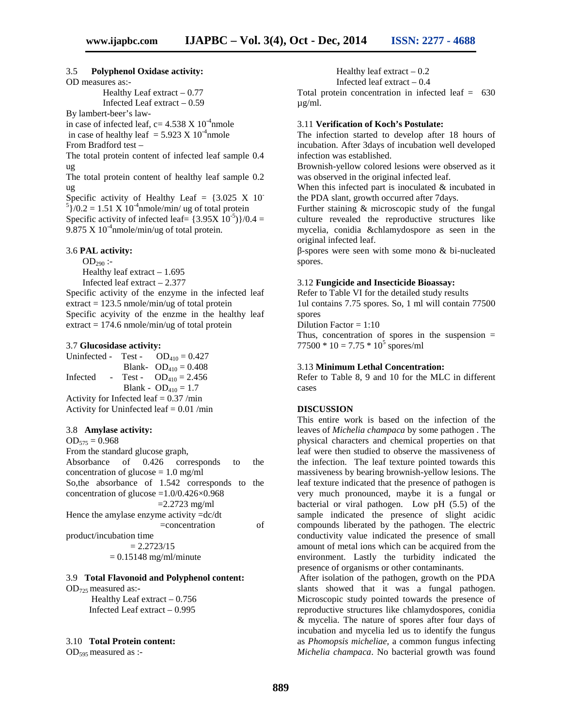#### 3.5 **Polyphenol Oxidase activity:**

OD measures as:-

Healthy Leaf extract  $-0.77$ Infected Leaf extract – 0.59

By lambert-beer's law-

in case of infected leaf, c=  $4.538 \text{ X} 10^{-4}$ nmole in case of healthy leaf  $= 5.923 \text{ X} 10^{-4}$ nmole From Bradford test –

The total protein content of infected leaf sample 0.4 ug

The total protein content of healthy leaf sample 0.2 ug

Specific activity of Healthy Leaf =  $\{3.025 \text{ X } 10^{-5}\}$ /0.2 = 1.51 X 10<sup>-4</sup>nmole/min/ ug of total protein Specific activity of infected leaf=  $\{3.95X\}$  10<sup>-5</sup>) $\}/0.4 =$ 9.875 X  $10^{-4}$ nmole/min/ug of total protein.

#### 3.6 **PAL activity:**

 $OD_{290}$ :-Healthy leaf extract – 1.695 Infected leaf extract – 2.377

Specific activity of the enzyme in the infected leaf  $extract = 123.5$  nmole/min/ug of total protein Specific acyivity of the enzme in the healthy leaf extract  $= 174.6$  nmole/min/ug of total protein

#### 3.7 **Glucosidase activity:**

Uninfected - Test -  $OD_{410} = 0.427$ Blank-  $OD_{410} = 0.408$ Infected - Test -  $OD_{410} = 2.456$ Blank -  $OD_{410} = 1.7$ Activity for Infected leaf = 0.37 /min Activity for Uninfected leaf  $= 0.01$  /min

#### 3.8 **Amylase activity:**

 $OD_{575} = 0.968$ From the standard glucose graph, Absorbance of 0.426 corresponds to the concentration of glucose  $= 1.0$  mg/ml So,the absorbance of 1.542 corresponds to the concentration of glucose  $=1.0/0.426\times0.968$  $=$  2.2723 mg/ml Hence the amylase enzyme activity =dc/dt =concentration of product/incubation time  $= 2.2723/15$ 

 $= 0.15148$  mg/ml/minute

#### 3.9 **Total Flavonoid and Polyphenol content:**

 $OD_{725}$  measured as:-

Healthy Leaf extract – 0.756 Infected Leaf extract – 0.995

#### 3.10 **Total Protein content:**

 $OD_{595}$  measured as :-

Healthy leaf extract  $-0.2$ 

Infected leaf extract – 0.4

Total protein concentration in infected leaf = 630 µg/ml.

#### 3.11 **Verification of Koch's Postulate:**

The infection started to develop after 18 hours of incubation. After 3days of incubation well developed infection was established.

Brownish-yellow colored lesions were observed as it was observed in the original infected leaf.

When this infected part is inoculated  $\&$  incubated in the PDA slant, growth occurred after 7days.

Further staining & microscopic study of the fungal culture revealed the reproductive structures like mycelia, conidia &chlamydospore as seen in the original infected leaf.

-spores were seen with some mono & bi-nucleated spores.

#### 3.12 **Fungicide and Insecticide Bioassay:**

Refer to Table VI for the detailed study results 1ul contains 7.75 spores. So, 1 ml will contain 77500 spores

Dilution Factor  $= 1:10$ 

Thus, concentration of spores in the suspension  $=$  $77500 * 10 = 7.75 * 10^5$  spores/ml

#### 3.13 **Minimum Lethal Concentration:**

Refer to Table 8, 9 and 10 for the MLC in different cases

#### **DISCUSSION**

This entire work is based on the infection of the leaves of *Michelia champaca* by some pathogen . The physical characters and chemical properties on that leaf were then studied to observe the massiveness of the infection. The leaf texture pointed towards this massiveness by bearing brownish-yellow lesions. The leaf texture indicated that the presence of pathogen is very much pronounced, maybe it is a fungal or bacterial or viral pathogen. Low pH (5.5) of the sample indicated the presence of slight acidic compounds liberated by the pathogen. The electric conductivity value indicated the presence of small amount of metal ions which can be acquired from the environment. Lastly the turbidity indicated the presence of organisms or other contaminants.

After isolation of the pathogen, growth on the PDA slants showed that it was a fungal pathogen. Microscopic study pointed towards the presence of reproductive structures like chlamydospores, conidia & mycelia. The nature of spores after four days of incubation and mycelia led us to identify the fungus as *Phomopsis micheliae,* a common fungus infecting *Michelia champaca*. No bacterial growth was found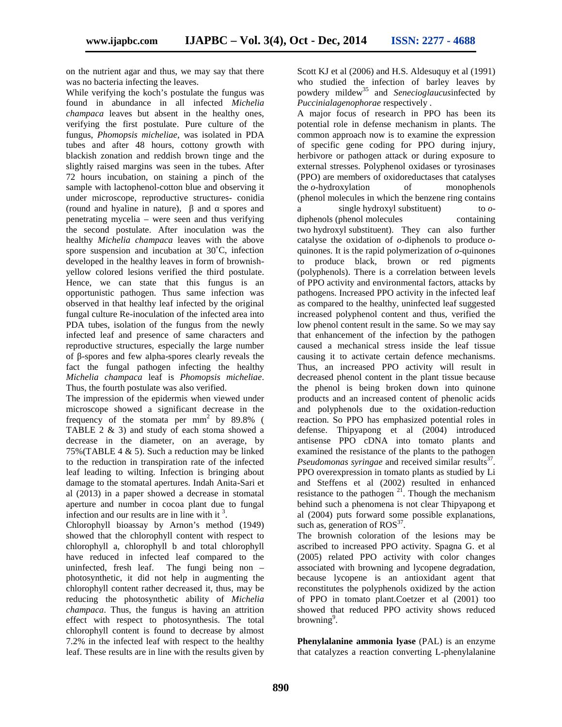on the nutrient agar and thus, we may say that there was no bacteria infecting the leaves.

While verifying the koch's postulate the fungus was found in abundance in all infected *Michelia champaca* leaves but absent in the healthy ones, verifying the first postulate. Pure culture of the fungus, *Phomopsis micheliae*, was isolated in PDA tubes and after 48 hours, cottony growth with blackish zonation and reddish brown tinge and the slightly raised margins was seen in the tubes. After 72 hours incubation, on staining a pinch of the sample with lactophenol-cotton blue and observing it under microscope, reproductive structures- conidia (round and hyaline in nature), and spores and a penetrating mycelia – were seen and thus verifying the second postulate. After inoculation was the healthy *Michelia champaca* leaves with the above spore suspension and incubation at 30˚C, infection developed in the healthy leaves in form of brownish yellow colored lesions verified the third postulate. Hence, we can state that this fungus is an opportunistic pathogen. Thus same infection was observed in that healthy leaf infected by the original fungal culture Re-inoculation of the infected area into PDA tubes, isolation of the fungus from the newly infected leaf and presence of same characters and reproductive structures, especially the large number of -spores and few alpha-spores clearly reveals the fact the fungal pathogen infecting the healthy *Michelia champaca* leaf is *Phomopsis micheliae*. Thus, the fourth postulate was also verified.

The impression of the epidermis when viewed under microscope showed a significant decrease in the frequency of the stomata per  $mm<sup>2</sup>$  by 89.8% ( TABLE 2 & 3) and study of each stoma showed a decrease in the diameter, on an average, by 75% (TABLE 4  $\&$  5). Such a reduction may be linked to the reduction in transpiration rate of the infected leaf leading to wilting. Infection is bringing about damage to the stomatal apertures. Indah Anita-Sari et al (2013) in a paper showed a decrease in stomatal aperture and number in cocoa plant due to fungal infection and our results are in line with it  $3$ .

Chlorophyll bioassay by Arnon's method (1949) showed that the chlorophyll content with respect to chlorophyll a, chlorophyll b and total chlorophyll have reduced in infected leaf compared to the uninfected, fresh leaf. The fungi being non – photosynthetic, it did not help in augmenting the chlorophyll content rather decreased it, thus, may be reducing the photosynthetic ability of *Michelia champaca*. Thus, the fungus is having an attrition effect with respect to photosynthesis. The total chlorophyll content is found to decrease by almost 7.2% in the infected leaf with respect to the healthy leaf. These results are in line with the results given by Scott KJ et al (2006) and H.S. Aldesuquy et al (1991) who studied the infection of barley leaves by powdery mildew<sup>35</sup> and *Senecioglaucus*infected by *Puccinialagenophorae* respectively .

A major focus of research in PPO has been its potential role in defense mechanism in plants. The common approach now is to examine the expression of specific gene coding for PPO during injury, herbivore or pathogen attack or during exposure to external stresses. Polyphenol oxidases or tyrosinases (PPO) are members of oxidoreductases that catalyses the *o*-hydroxylation of monophenols (phenol molecules in which the benzene ring contains a single hydroxyl substituent) to *o* diphenols (phenol molecules containing two hydroxyl substituent). They can also further catalyse the oxidation of *o*-diphenols to produce *o* quinones. It is the rapid polymerization of *o*-quinones to produce black, brown or red pigments (polyphenols). There is a correlation between levels of PPO activity and environmental factors, attacks by pathogens. Increased PPO activity in the infected leaf as compared to the healthy, uninfected leaf suggested increased polyphenol content and thus, verified the low phenol content result in the same. So we may say that enhancement of the infection by the pathogen caused a mechanical stress inside the leaf tissue causing it to activate certain defence mechanisms. Thus, an increased PPO activity will result in decreased phenol content in the plant tissue because the phenol is being broken down into quinone products and an increased content of phenolic acids and polyphenols due to the oxidation-reduction reaction. So PPO has emphasized potential roles in defense. Thipyapong et al (2004) introduced antisense PPO cDNA into tomato plants and examined the resistance of the plants to the pathogen *Pseudomonas syringae* and received similar results<sup>37</sup>. PPO overexpression in tomato plants as studied by Li and Steffens et al (2002) resulted in enhanced resistance to the pathogen  $2<sup>1</sup>$ . Though the mechanism behind such a phenomena is not clear Thipyapong et al (2004) puts forward some possible explanations, such as, generation of  $ROS<sup>37</sup>$ .

The brownish coloration of the lesions may be ascribed to increased PPO activity. Spagna G. et al (2005) related PPO activity with color changes associated with browning and lycopene degradation, because lycopene is an antioxidant agent that reconstitutes the polyphenols oxidized by the action of PPO in tomato plant.Coetzer et al (2001) too showed that reduced PPO activity shows reduced browning<sup>9</sup>.

**Phenylalanine ammonia lyase** (PAL) is an enzyme that catalyzes a reaction converting L-phenylalanine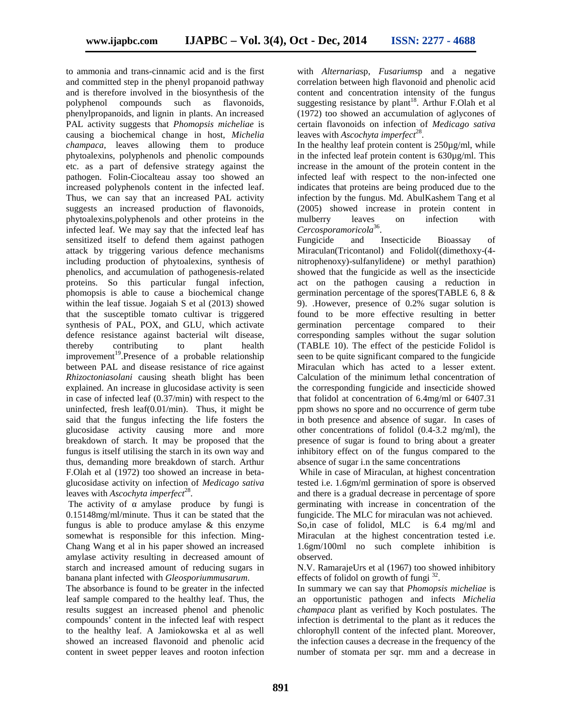to ammonia and trans-cinnamic acid and is the first and committed step in the phenyl propanoid pathway and is therefore involved in the biosynthesis of the polyphenol compounds such as flavonoids, phenylpropanoids, and lignin in plants. An increased PAL activity suggests that *Phomopsis micheliae* is causing a biochemical change in host, *Michelia champaca*, leaves allowing them to produce phytoalexins, polyphenols and phenolic compounds etc. as a part of defensive strategy against the pathogen. Folin-Ciocalteau assay too showed an increased polyphenols content in the infected leaf. Thus, we can say that an increased PAL activity suggests an increased production of flavonoids, phytoalexins,polyphenols and other proteins in the infected leaf. We may say that the infected leaf has sensitized itself to defend them against pathogen Fungicide attack by triggering various defence mechanisms including production of phytoalexins, synthesis of phenolics, and accumulation of pathogenesis-related proteins. So this particular fungal infection, phomopsis is able to cause a biochemical change within the leaf tissue. Jogaiah S et al (2013) showed that the susceptible tomato cultivar is triggered synthesis of PAL, POX, and GLU, which activate defence resistance against bacterial wilt disease, thereby contributing to plant health improvement<sup>19</sup>.Presence of a probable relationship between PAL and disease resistance of rice against *Rhizoctoniasolani* causing sheath blight has been explained. An increase in glucosidase activity is seen in case of infected leaf (0.37/min) with respect to the uninfected, fresh leaf(0.01/min). Thus, it might be said that the fungus infecting the life fosters the glucosidase activity causing more and more breakdown of starch. It may be proposed that the fungus is itself utilising the starch in its own way and thus, demanding more breakdown of starch. Arthur F.Olah et al (1972) too showed an increase in beta glucosidase activity on infection of *Medicago sativa* leaves with *Ascochyta imperfect*<sup>28</sup>.

The activity of amylase produce by fungi is 0.15148mg/ml/minute. Thus it can be stated that the fungus is able to produce amylase & this enzyme somewhat is responsible for this infection. Ming- Chang Wang et al in his paper showed an increased amylase activity resulting in decreased amount of starch and increased amount of reducing sugars in banana plant infected with *Gleosporiummusarum*.

The absorbance is found to be greater in the infected leaf sample compared to the healthy leaf. Thus, the results suggest an increased phenol and phenolic compounds' content in the infected leaf with respect to the healthy leaf. A Jamiokowska et al as well showed an increased flavonoid and phenolic acid content in sweet pepper leaves and rooton infection

with *Alternaria*sp, *Fusarium*sp and a negative correlation between high flavonoid and phenolic acid content and concentration intensity of the fungus suggesting resistance by plant<sup>18</sup>. Arthur F.Olah et al (1972) too showed an accumulation of aglycones of certain flavonoids on infection of *Medicago sativa* leaves with *Ascochyta imperfect*<sup>28</sup>.

In the healthy leaf protein content is  $250\mu\text{g/ml}$ , while in the infected leaf protein content is 630µg/ml. This increase in the amount of the protein content in the infected leaf with respect to the non-infected one indicates that proteins are being produced due to the infection by the fungus. Md. AbulKashem Tang et al (2005) showed increase in protein content in mulberry leaves on infection with *Cercosporamoricola*<sup>36</sup> .

and Insecticide Bioassay of Miraculan(Tricontanol) and Folidol((dimethoxy-(4 nitrophenoxy)-sulfanylidene) or methyl parathion) showed that the fungicide as well as the insecticide act on the pathogen causing a reduction in germination percentage of the spores(TABLE 6, 8 & 9). .However, presence of 0.2% sugar solution is found to be more effective resulting in better germination percentage compared to their corresponding samples without the sugar solution (TABLE 10). The effect of the pesticide Folidol is seen to be quite significant compared to the fungicide Miraculan which has acted to a lesser extent. Calculation of the minimum lethal concentration of the corresponding fungicide and insecticide showed that folidol at concentration of 6.4mg/ml or 6407.31 ppm shows no spore and no occurrence of germ tube in both presence and absence of sugar. In cases of other concentrations of folidol (0.4-3.2 mg/ml), the presence of sugar is found to bring about a greater inhibitory effect on of the fungus compared to the absence of sugar i.n the same concentrations

While in case of Miraculan, at highest concentration tested i.e. 1.6gm/ml germination of spore is observed and there is a gradual decrease in percentage of spore germinating with increase in concentration of the fungicide. The MLC for miraculan was not achieved. So,in case of folidol, MLC is 6.4 mg/ml and Miraculan at the highest concentration tested i.e. 1.6gm/100ml no such complete inhibition is observed.

N.V. RamarajeUrs et al (1967) too showed inhibitory effects of folidol on growth of fungi  $32$ .

In summary we can say that *Phomopsis micheliae* is an opportunistic pathogen and infects *Michelia champaca* plant as verified by Koch postulates. The infection is detrimental to the plant as it reduces the chlorophyll content of the infected plant. Moreover, the infection causes a decrease in the frequency of the number of stomata per sqr. mm and a decrease in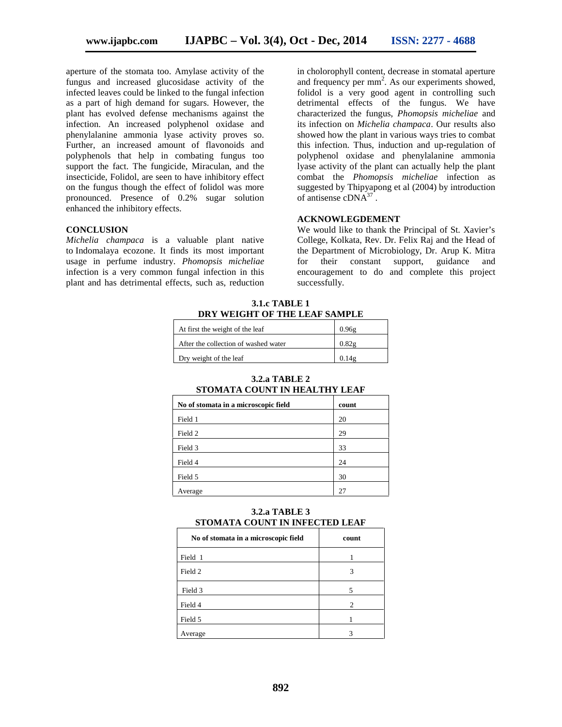aperture of the stomata too. Amylase activity of the fungus and increased glucosidase activity of the infected leaves could be linked to the fungal infection as a part of high demand for sugars. However, the plant has evolved defense mechanisms against the infection. An increased polyphenol oxidase and phenylalanine ammonia lyase activity proves so. Further, an increased amount of flavonoids and polyphenols that help in combating fungus too support the fact. The fungicide, Miraculan, and the insecticide, Folidol, are seen to have inhibitory effect on the fungus though the effect of folidol was more pronounced. Presence of 0.2% sugar solution enhanced the inhibitory effects.

#### **CONCLUSION**

*Michelia champaca* is a valuable plant native to Indomalaya ecozone. It finds its most important usage in perfume industry. *Phomopsis micheliae* infection is a very common fungal infection in this plant and has detrimental effects, such as, reduction in cholorophyll content, decrease in stomatal aperture and frequency per  $mm<sup>2</sup>$ . As our experiments showed, folidol is a very good agent in controlling such detrimental effects of the fungus. We have characterized the fungus, *Phomopsis micheliae* and its infection on *Michelia champaca*. Our results also showed how the plant in various ways tries to combat this infection. Thus, induction and up-regulation of polyphenol oxidase and phenylalanine ammonia lyase activity of the plant can actually help the plant combat the *Phomopsis micheliae* infection as suggested by Thipyapong et al (2004) by introduction of antisense cDNA<sup>37</sup>.

#### **ACKNOWLEGDEMENT**

We would like to thank the Principal of St. Xavier's College, Kolkata, Rev. Dr. Felix Raj and the Head of the Department of Microbiology, Dr. Arup K. Mitra for their constant support, guidance and encouragement to do and complete this project successfully.

**3.1.c TABLE 1 DRY WEIGHT OF THE LEAF SAMPLE**

| At first the weight of the leaf      | 0.96g |
|--------------------------------------|-------|
| After the collection of washed water | 0.82g |
| Dry weight of the leaf               | 0.149 |

**3.2.a TABLE 2**

| STOMATA COUNT IN HEALTHY LEAF        |       |  |  |  |
|--------------------------------------|-------|--|--|--|
| No of stomata in a microscopic field | count |  |  |  |
| Field 1                              | 20    |  |  |  |
| Field 2                              | 29    |  |  |  |
| Field 3                              | 33    |  |  |  |
| Field 4                              | 24    |  |  |  |
| Field 5                              | 30    |  |  |  |
| Average                              | 27    |  |  |  |

| <b>3.2.a TABLE 3</b>           |  |
|--------------------------------|--|
| STOMATA COUNT IN INFECTED LEAF |  |

| No of stomata in a microscopic field | count                       |
|--------------------------------------|-----------------------------|
| Field 1                              |                             |
| Field 2                              | 3                           |
| Field 3                              | 5                           |
| Field 4                              | $\mathcal{D}_{\mathcal{L}}$ |
| Field 5                              |                             |
| Average                              |                             |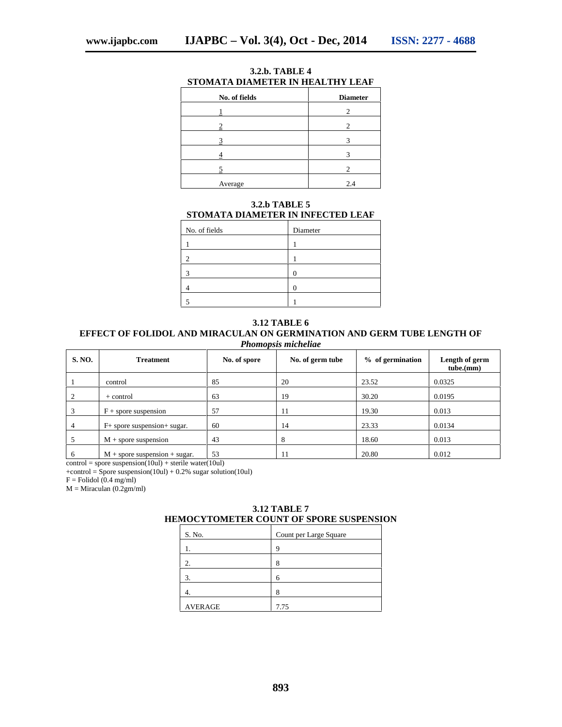| No. of fields | <b>Diameter</b> |
|---------------|-----------------|
|               | 2               |
|               |                 |
|               |                 |
|               |                 |
|               |                 |
| Average       | 2.4             |

**3.2.b. TABLE 4 STOMATA DIAMETER IN HEALTHY LEAF**

# **3.2.b TABLE 5 STOMATA DIAMETER IN INFECTED LEAF**

| No. of fields | Diameter |
|---------------|----------|
|               |          |
|               |          |
| о             |          |
|               |          |
|               |          |

#### **3.12 TABLE 6 EFFECT OF FOLIDOL AND MIRACULAN ON GERMINATION AND GERM TUBE LENGTH OF** *Phomopsis micheliae*

| <b>S. NO.</b> | <b>Treatment</b>                | No. of spore | No. of germ tube | % of germination | Length of germ<br>tube.(mm) |
|---------------|---------------------------------|--------------|------------------|------------------|-----------------------------|
|               | control                         | 85           | 20               | 23.52            | 0.0325                      |
|               | + control                       | 63           | 19               | 30.20            | 0.0195                      |
|               | $F +$ spore suspension          | 57           | 11               | 19.30            | 0.013                       |
| 4             | $F+$ spore suspension + sugar.  | 60           | 14               | 23.33            | 0.0134                      |
|               | $M +$ spore suspension          | 43           | 8                | 18.60            | 0.013                       |
| 6             | $M$ + spore suspension + sugar. | 53           | 11               | 20.80            | 0.012                       |

 $control = spore suspension(10ul) + sterile water(10ul)$ 

 $+control = Spore suspension(10ul) + 0.2% sugar solution(10ul)$ 

 $F =$  Folidol (0.4 mg/ml)

 $M =$ Miraculan (0.2gm/ml)

|        | EMOCYTOMETER COUNT OF SPORE SUSPENSIO |  |
|--------|---------------------------------------|--|
| S. No. | Count per Large Square                |  |
|        |                                       |  |
|        |                                       |  |
|        |                                       |  |

4. 8 AVERAGE 7.75

### **3.12 TABLE 7 HEMOCYTOMETER COUNT OF SPORE SUSPENSION**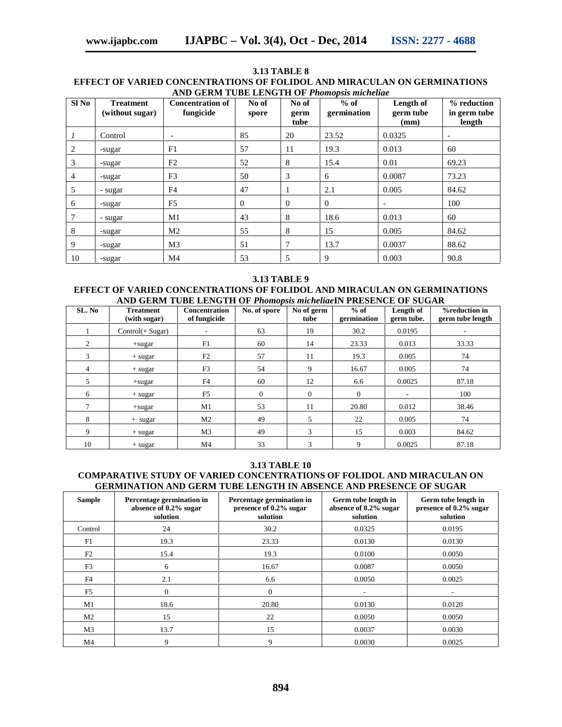#### **3.13 TABLE 8 EFFECT OF VARIED CONCENTRATIONS OF FOLIDOL AND MIRACULAN ON GERMINATIONS AND GERM TUBE LENGTH OF** *Phomopsis micheliae*

| $SI$ No | <b>Treatment</b><br>(without sugar) | <b>Concentration of</b><br>fungicide | No of<br>spore | No of<br>germ<br>tube | $%$ of<br>germination | Length of<br>germ tube<br>(mm) | % reduction<br>in germ tube<br>length |
|---------|-------------------------------------|--------------------------------------|----------------|-----------------------|-----------------------|--------------------------------|---------------------------------------|
|         | Control                             | $\overline{\phantom{a}}$             | 85             | 20                    | 23.52                 | 0.0325                         | $\overline{\phantom{a}}$              |
| 2       | -sugar                              | F1                                   | 57             | 11                    | 19.3                  | 0.013                          | 60                                    |
| 3       | -sugar                              | F2                                   | 52             | 8                     | 15.4                  | 0.01                           | 69.23                                 |
| 4       | -sugar                              | F <sub>3</sub>                       | 50             | 3                     | 6                     | 0.0087                         | 73.23                                 |
| 5       | - sugar                             | F4                                   | 47             |                       | 2.1                   | 0.005                          | 84.62                                 |
| 6       | -sugar                              | F <sub>5</sub>                       | $\overline{0}$ | $\overline{0}$        | $\overline{0}$        | $\overline{\phantom{a}}$       | 100                                   |
| 7       | - sugar                             | M1                                   | 43             | 8                     | 18.6                  | 0.013                          | 60                                    |
| 8       | -sugar                              | M <sub>2</sub>                       | 55             | 8                     | 15                    | 0.005                          | 84.62                                 |
| 9       | -sugar                              | M3                                   | 51             | 7                     | 13.7                  | 0.0037                         | 88.62                                 |
| 10      | -sugar                              | M4                                   | 53             | 5                     | 9                     | 0.003                          | 90.8                                  |

#### **3.13 TABLE 9**

#### **EFFECT OF VARIED CONCENTRATIONS OF FOLIDOL AND MIRACULAN ON GERMINATIONS AND GERM TUBE LENGTH OF** *Phomopsis micheliae***IN PRESENCE OF SUGAR**

| SL. No | <b>Treatment</b><br>(with sugar) | <b>Concentration</b><br>of fungicide | No. of spore | No of germ<br>tube | $%$ of<br>germination | Length of<br>germ tube. | <b>%reduction in</b><br>germ tube length |
|--------|----------------------------------|--------------------------------------|--------------|--------------------|-----------------------|-------------------------|------------------------------------------|
|        | $Control(+ Sugar)$               | $\overline{\phantom{a}}$             | 63           | 19                 | 30.2                  | 0.0195                  | ۰                                        |
| 2      | $+$ sugar                        | F1                                   | 60           | 14                 | 23.33                 | 0.013                   | 33.33                                    |
| 3      | $+$ sugar                        | F2                                   | 57           | 11                 | 19.3                  | 0.005                   | 74                                       |
| 4      | $+$ sugar                        | F <sub>3</sub>                       | 54           | 9                  | 16.67                 | 0.005                   | 74                                       |
| .5     | +sugar                           | F <sub>4</sub>                       | 60           | 12                 | 6.6                   | 0.0025                  | 87.18                                    |
| 6      | $+$ sugar                        | F <sub>5</sub>                       | $\mathbf{0}$ | $\overline{0}$     | $\mathbf{0}$          | ٠.                      | 100                                      |
|        | +sugar                           | M1                                   | 53           | 11                 | 20.80                 | 0.012                   | 38.46                                    |
| 8      | $+$ sugar                        | M <sub>2</sub>                       | 49           | 5                  | 22                    | 0.005                   | 74                                       |
| 9      | $+$ sugar                        | M <sub>3</sub>                       | 49           | 3                  | 15                    | 0.003                   | 84.62                                    |
| 10     | $+ sugar$                        | M <sub>4</sub>                       | 33           | 3                  | 9                     | 0.0025                  | 87.18                                    |

#### **3.13 TABLE 10**

### **COMPARATIVE STUDY OF VARIED CONCENTRATIONS OF FOLIDOL AND MIRACULAN ON GERMINATION AND GERM TUBE LENGTH IN ABSENCE AND PRESENCE OF SUGAR**

| <b>Sample</b>  | Percentage germination in<br>absence of 0.2% sugar<br>solution | Percentage germination in<br>presence of 0.2% sugar<br>solution | Germ tube length in<br>absence of 0.2% sugar<br>solution | Germ tube length in<br>presence of 0.2% sugar<br>solution |
|----------------|----------------------------------------------------------------|-----------------------------------------------------------------|----------------------------------------------------------|-----------------------------------------------------------|
| Control        | 24                                                             | 30.2                                                            | 0.0325                                                   | 0.0195                                                    |
| F1             | 19.3                                                           | 23.33                                                           | 0.0130                                                   | 0.0130                                                    |
| F2             | 15.4                                                           | 19.3                                                            | 0.0100                                                   | 0.0050                                                    |
| F <sub>3</sub> | 6                                                              | 16.67                                                           | 0.0087                                                   | 0.0050                                                    |
| F4             | 2.1                                                            | 6.6                                                             | 0.0050                                                   | 0.0025                                                    |
| F <sub>5</sub> | $\Omega$                                                       | $\Omega$                                                        | ٠                                                        |                                                           |
| M1             | 18.6                                                           | 20.80                                                           | 0.0130                                                   | 0.0120                                                    |
| M <sub>2</sub> | 15                                                             | 22                                                              | 0.0050                                                   | 0.0050                                                    |
| M <sub>3</sub> | 13.7                                                           | 15                                                              | 0.0037                                                   | 0.0030                                                    |
| M4             | 9                                                              | 9                                                               | 0.0030                                                   | 0.0025                                                    |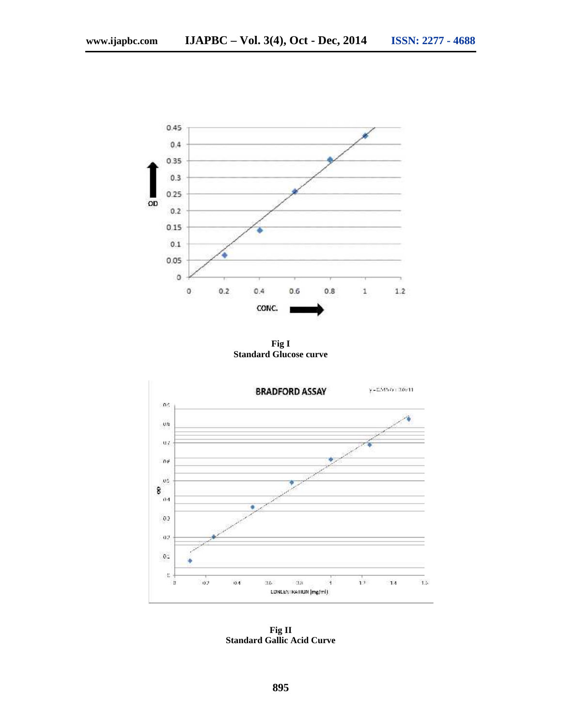

**Fig I Standard Glucose curve**



**Fig II Standard Gallic Acid Curve**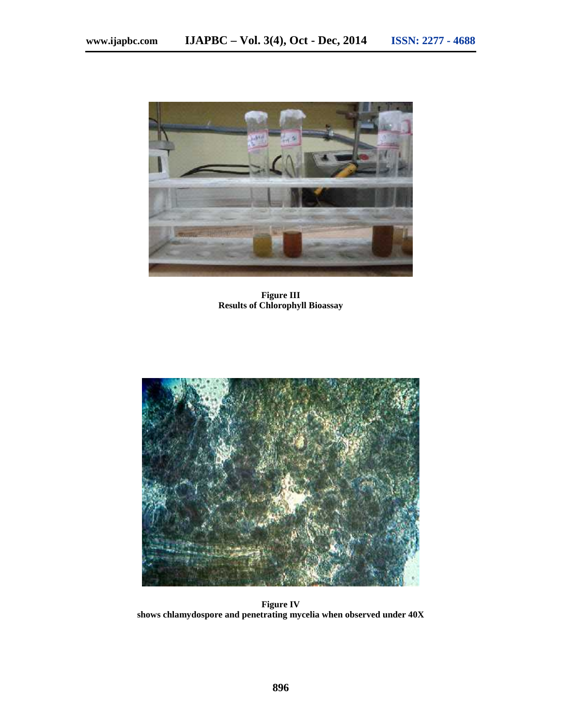

**Figure III Results of Chlorophyll Bioassay**



**Figure IV shows chlamydospore and penetrating mycelia when observed under 40X**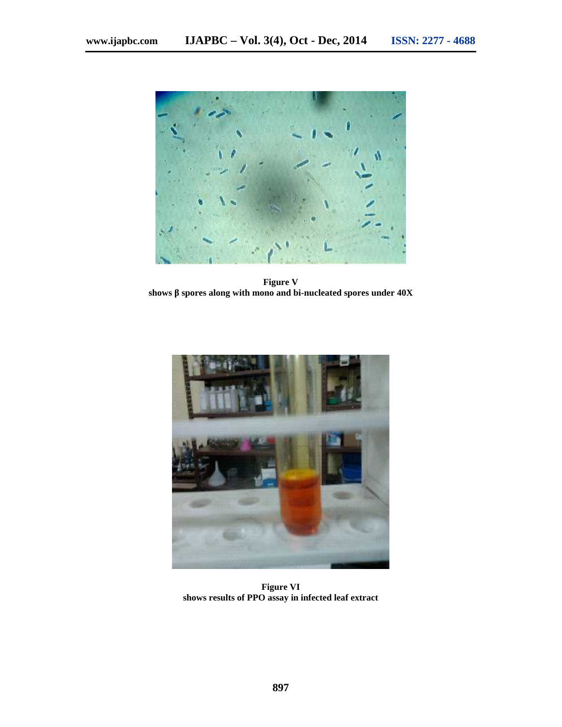

**Figure V shows** spores along with mono and bi-nucleated spores under  $40X$ 



**Figure VI shows results of PPO assay in infected leaf extract**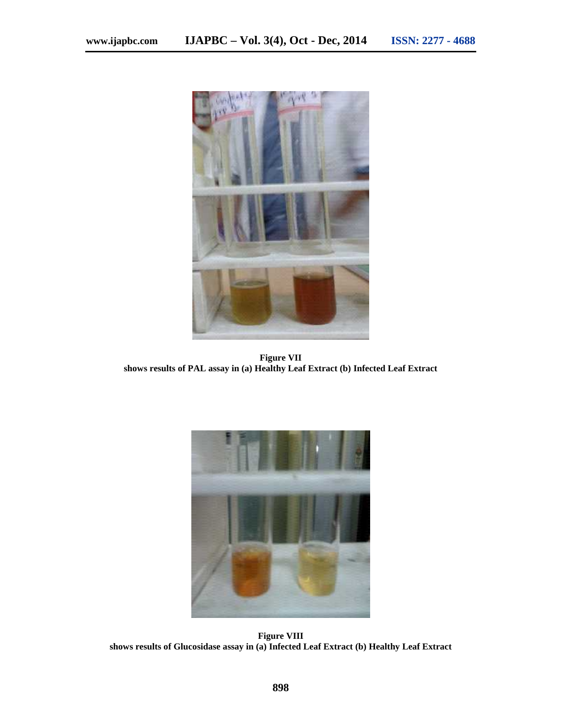

**Figure VII shows results of PAL assay in (a) Healthy Leaf Extract (b) Infected Leaf Extract**



**Figure VIII shows results of Glucosidase assay in (a) Infected Leaf Extract (b) Healthy Leaf Extract**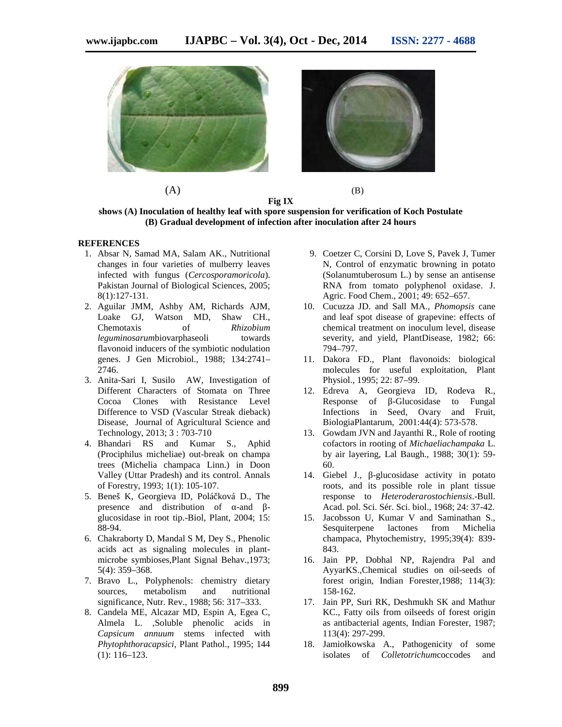

**Fig IX**

**shows (A) Inoculation of healthy leaf with spore suspension for verification of Koch Postulate (B) Gradual development of infection after inoculation after 24 hours**

#### **REFERENCES**

- 1. Absar N, Samad MA, Salam AK., Nutritional changes in four varieties of mulberry leaves infected with fungus (*Cercosporamoricola*). Pakistan Journal of Biological Sciences, 2005; 8(1):127-131.
- 2. Aguilar JMM, Ashby AM, Richards AJM, Loake GJ, Watson MD, Shaw CH., Chemotaxis of *Rhizobium leguminosarumbiovarphaseoli* towards flavonoid inducers of the symbiotic nodulation genes. J Gen Microbiol., 1988; 134:2741– 2746.
- 3. Anita-Sari I, Susilo AW, Investigation of Different Characters of Stomata on Three Cocoa Clones with Resistance Level Difference to VSD (Vascular Streak dieback) Disease, Journal of Agricultural Science and Technology, 2013; 3 : 703-710
- 4. Bhandari RS and Kumar S., Aphid (Prociphilus micheliae) out-break on champa trees (Michelia champaca Linn.) in Doon Valley (Uttar Pradesh) and its control. Annals of Forestry, 1993; 1(1): 105-107.
- 5. Beneš K, Georgieva ID, Polá ková D., The presence and distribution of -and glucosidase in root tip.-Biol, Plant, 2004; 15: 88-94.
- 6. Chakraborty D, Mandal S M, Dey S., Phenolic acids act as signaling molecules in plant microbe symbioses,Plant Signal Behav.,1973; 5(4): 359–368.
- 7. Bravo L., Polyphenols: chemistry dietary sources, metabolism and nutritional significance, Nutr. Rev., 1988; 56: 317–333.
- 8. Candela ME, Alcazar MD, Espin A, Egea C, Almela L. ,Soluble phenolic acids in *Capsicum annuum* stems infected with *Phytophthoracapsici*, Plant Pathol., 1995; 144 (1): 116–123.
- 9. Coetzer C, Corsini D, Love S, Pavek J, Tumer N, Control of enzymatic browning in potato (Solanumtuberosum L.) by sense an antisense RNA from tomato polyphenol oxidase. J. Agric. Food Chem., 2001; 49: 652–657.
- 10. Cucuzza JD. and Sall MA., *Phomopsis* cane and leaf spot disease of grapevine: effects of chemical treatment on inoculum level, disease severity, and yield, PlantDisease, 1982; 66: 794–797.
- 11. Dakora FD., Plant flavonoids: biological molecules for useful exploitation, Plant Physiol., 1995; 22: 87–99.
- 12. Edreva A, Georgieva ID, Rodeva R., -Glucosidase to Fungal Infections in Seed, Ovary and Fruit, BiologiaPlantarum, 2001:44(4): 573-578.
- 13. Gowdam JVN and Jayanthi R., Role of rooting cofactors in rooting of *Michaeliachampaka* L. by air layering, Lal Baugh., 1988; 30(1): 59- 60.
- 14. Giebel J., -glucosidase activity in potato roots, and its possible role in plant tissue response to *Heteroderarostochiensis*.-Bull. Acad. pol. Sci. Sér. Sci. biol., 1968; 24: 37-42.
- 15. Jacobsson U, Kumar V and Saminathan S., Sesquiterpene lactones from Michelia champaca, Phytochemistry, 1995;39(4): 839- 843.
- 16. Jain PP, Dobhal NP, Rajendra Pal and AyyarKS.,Chemical studies on oil-seeds of forest origin, Indian Forester,1988; 114(3): 158-162.
- 17. Jain PP, Suri RK, Deshmukh SK and Mathur KC., Fatty oils from oilseeds of forest origin as antibacterial agents, Indian Forester, 1987; 113(4): 297-299.
- 18. Jamiołkowska A., Pathogenicity of some isolates of *Colletotrichum*coccodes and